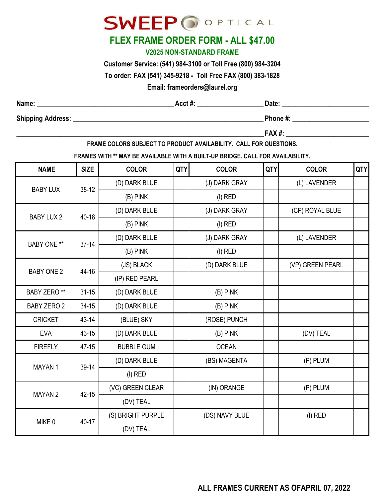# **SWEEP OOPTICAL**

## **FLEX FRAME ORDER FORM - ALL \$47.00**

### **V2025 NON-STANDARD FRAME**

**Customer Service: (541) 984-3100 or Toll Free (800) 984-3204**

**To order: FAX (541) 345-9218 - Toll Free FAX (800) 383-1828**

### **Email: frameorders@laurel.org**

| Name:                    | $Acct$ # | Date:    |
|--------------------------|----------|----------|
| <b>Shipping Address:</b> |          | Phone #: |

**\_\_\_\_\_\_\_\_\_\_\_\_\_\_\_\_\_\_\_\_\_\_\_\_\_\_\_\_\_\_\_\_\_\_\_\_\_\_\_\_\_\_\_\_\_\_\_\_\_\_\_\_\_\_\_\_\_\_\_\_\_\_\_\_\_\_\_\_\_\_\_\_\_\_\_\_\_\_\_\_\_\_\_\_\_\_\_\_\_\_\_\_\_\_ FAX #: \_\_\_\_\_\_\_\_\_\_\_\_\_\_\_\_\_\_\_\_\_\_\_\_\_\_\_\_\_\_\_\_\_\_\_\_\_\_\_\_\_\_\_**

**FRAME COLORS SUBJECT TO PRODUCT AVAILABILITY. CALL FOR QUESTIONS.**

**FRAMES WITH \*\* MAY BE AVAILABLE WITH A BUILT-UP BRIDGE. CALL FOR AVAILABILITY.**

| <b>NAME</b>        | <b>SIZE</b> | <b>COLOR</b>      | <b>QTY</b> | <b>COLOR</b>   | QTY | <b>COLOR</b>     | <b>QTY</b> |
|--------------------|-------------|-------------------|------------|----------------|-----|------------------|------------|
| <b>BABY LUX</b>    | $38-12$     | (D) DARK BLUE     |            | (J) DARK GRAY  |     | (L) LAVENDER     |            |
|                    |             | $(B)$ PINK        |            | $(I)$ RED      |     |                  |            |
| <b>BABY LUX 2</b>  | $40 - 18$   | (D) DARK BLUE     |            | (J) DARK GRAY  |     | (CP) ROYAL BLUE  |            |
|                    |             | $(B)$ PINK        |            | $(I)$ RED      |     |                  |            |
| <b>BABY ONE **</b> | $37 - 14$   | (D) DARK BLUE     |            | (J) DARK GRAY  |     | (L) LAVENDER     |            |
|                    |             | $(B)$ PINK        |            | $(I)$ RED      |     |                  |            |
| <b>BABY ONE 2</b>  | 44-16       | (JS) BLACK        |            | (D) DARK BLUE  |     | (VP) GREEN PEARL |            |
|                    |             | (IP) RED PEARL    |            |                |     |                  |            |
| <b>BABY ZERO**</b> | $31 - 15$   | (D) DARK BLUE     |            | (B) PINK       |     |                  |            |
| <b>BABY ZERO 2</b> | $34 - 15$   | (D) DARK BLUE     |            | (B) PINK       |     |                  |            |
| <b>CRICKET</b>     | 43-14       | (BLUE) SKY        |            | (ROSE) PUNCH   |     |                  |            |
| <b>EVA</b>         | $43 - 15$   | (D) DARK BLUE     |            | $(B)$ PINK     |     | (DV) TEAL        |            |
| <b>FIREFLY</b>     | $47 - 15$   | <b>BUBBLE GUM</b> |            | <b>OCEAN</b>   |     |                  |            |
| MAYAN 1            | 39-14       | (D) DARK BLUE     |            | (BS) MAGENTA   |     | (P) PLUM         |            |
|                    |             | $(I)$ RED         |            |                |     |                  |            |
| <b>MAYAN2</b>      | 42-15       | (VC) GREEN CLEAR  |            | (IN) ORANGE    |     | (P) PLUM         |            |
|                    |             | (DV) TEAL         |            |                |     |                  |            |
| MIKE 0             | 40-17       | (S) BRIGHT PURPLE |            | (DS) NAVY BLUE |     | $(I)$ RED        |            |
|                    |             | (DV) TEAL         |            |                |     |                  |            |